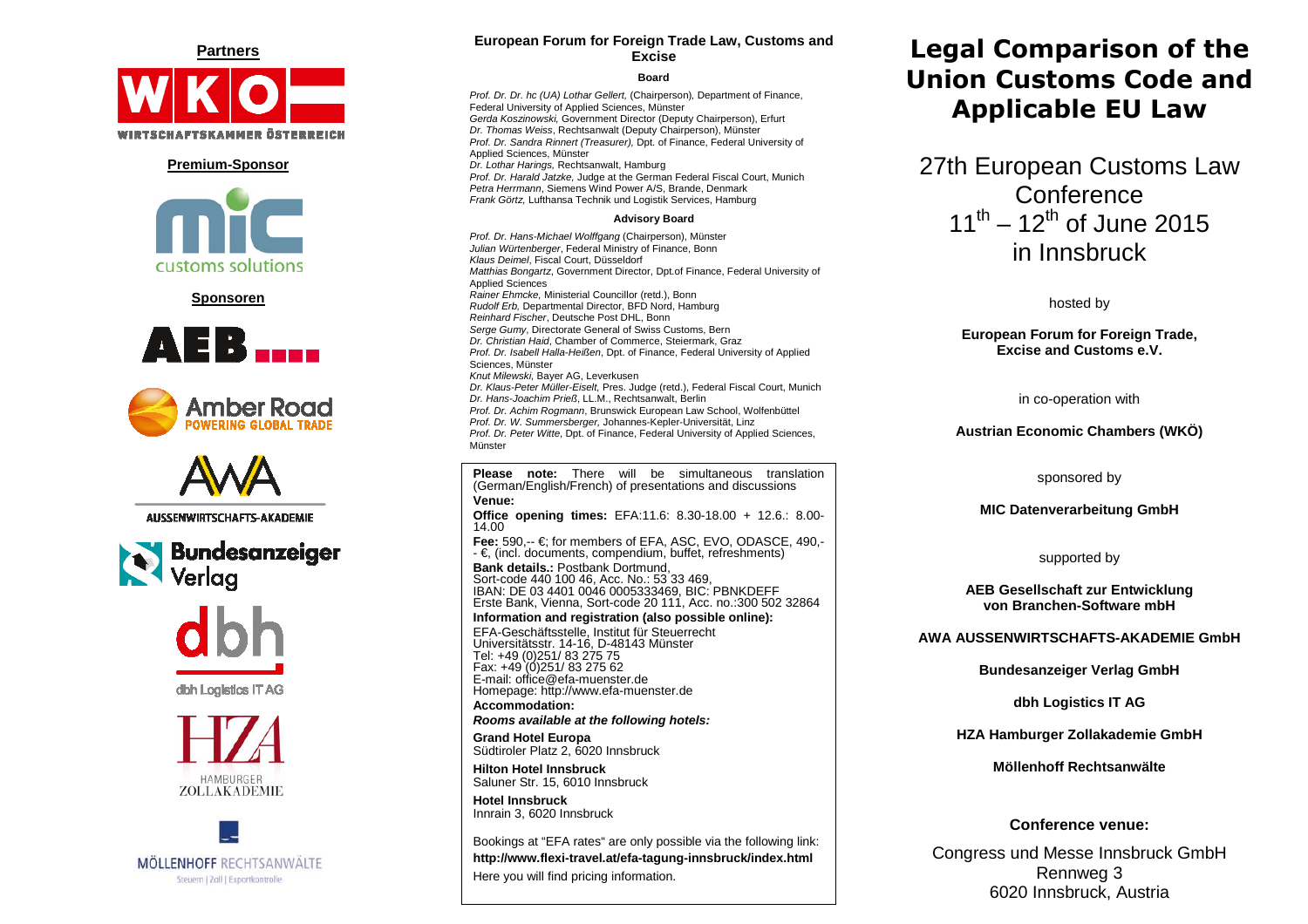

#### **Premium-Sponsor**



**Sponsoren** 















## **European Forum for Foreign Trade Law, Customs and Excise**

#### **Board**

Prof. Dr. Dr. hc (UA) Lothar Gellert, (Chairperson), Department of Finance, Federal University of Applied Sciences, Münster Gerda Koszinowski, Government Director (Deputy Chairperson), ErfurtDr. Thomas Weiss, Rechtsanwalt (Deputy Chairperson), Münster Prof. Dr. Sandra Rinnert (Treasurer), Dpt. of Finance, Federal University of Applied Sciences, Münster Dr. Lothar Harings, Rechtsanwalt, Hamburg Prof. Dr. Harald Jatzke, Judge at the German Federal Fiscal Court, Munich Petra Herrmann, Siemens Wind Power A/S, Brande, DenmarkFrank Görtz, Lufthansa Technik und Logistik Services, Hamburg

#### **Advisory Board**

Prof. Dr. Hans-Michael Wolffgang (Chairperson), Münster Julian Würtenberger, Federal Ministry of Finance, Bonn Klaus Deimel, Fiscal Court, Düsseldorf Matthias Bongartz, Government Director, Dpt.of Finance, Federal University of Applied Sciences Rainer Ehmcke, Ministerial Councillor (retd.), Bonn Rudolf Erb, Departmental Director, BFD Nord, Hamburg Reinhard Fischer, Deutsche Post DHL, Bonn Serge Gumy, Directorate General of Swiss Customs, Bern Dr. Christian Haid, Chamber of Commerce, Steiermark, Graz Prof. Dr. Isabell Halla-Heißen, Dpt. of Finance, Federal University of Applied Sciences, Münster Knut Milewski, Bayer AG, Leverkusen Dr. Klaus-Peter Müller-Eiselt, Pres. Judge (retd.), Federal Fiscal Court, Munich Dr. Hans-Joachim Prieß, LL.M., Rechtsanwalt, Berlin Prof. Dr. Achim Rogmann, Brunswick European Law School, WolfenbüttelProf. Dr. W. Summersberger, Johannes-Kepler-Universität, Linz Prof. Dr. Peter Witte, Dpt. of Finance, Federal University of Applied Sciences, Münster

**Please note:** There will be simultaneous translation (German/English/French) of presentations and discussions **Venue: Office opening times:** EFA:11.6: 8.30-18.00 + 12.6.: 8.00-14.00 **Fee:** 590,-- €; for members of EFA, ASC, EVO, ODASCE, 490,-- €, (incl. documents, compendium, buffet, refreshments) **Bank details.:** Postbank Dortmund, Sort-code 440 100 46, Acc. No.: 53 33 469, IBAN: DE 03 4401 0046 0005333469, BIC: PBNKDEFF Erste Bank, Vienna, Sort-code 20 111, Acc. no.:300 502 32864 **Information and registration (also possible online):**EFA-Geschäftsstelle, Institut für Steuerrecht Universitätsstr. 14-16, D-48143 Münster

Fax: +49 (0)251/ 83 275 62<br>E-mail: office@efa-muenster.de Homepage: http://www.efa-muenster.de **Accommodation:** 

#### **Rooms available at the following hotels:**

**Grand Hotel Europa** Südtiroler Platz 2, 6020 Innsbruck

**Hilton Hotel Innsbruck** Saluner Str. 15, 6010 Innsbruck

**Hotel Innsbruck** Innrain 3, 6020 Innsbruck

Bookings at "EFA rates" are only possible via the following link: **http://www.flexi-travel.at/efa-tagung-innsbruck/index.html** Here you will find pricing information.

# **Legal Comparison of the Union Customs Code and Applicable EU Law**

27th European Customs Law **Conference** 11<sup>th</sup> – 12<sup>th</sup> of June 2015 in Innsbruck

hosted by

#### **European Forum for Foreign Trade, Excise and Customs e.V.**

in co-operation with

**Austrian Economic Chambers (WKÖ)** 

sponsored by

#### **MIC Datenverarbeitung GmbH**

supported by

**AEB Gesellschaft zur Entwicklung von Branchen-Software mbH** 

**AWA AUSSENWIRTSCHAFTS-AKADEMIE GmbH** 

**Bundesanzeiger Verlag GmbH** 

**dbh Logistics IT AG** 

**HZA Hamburger Zollakademie GmbH** 

**Möllenhoff Rechtsanwälte** 

## **Conference venue:**

Congress und Messe Innsbruck GmbH Rennweg 3 6020 Innsbruck, Austria